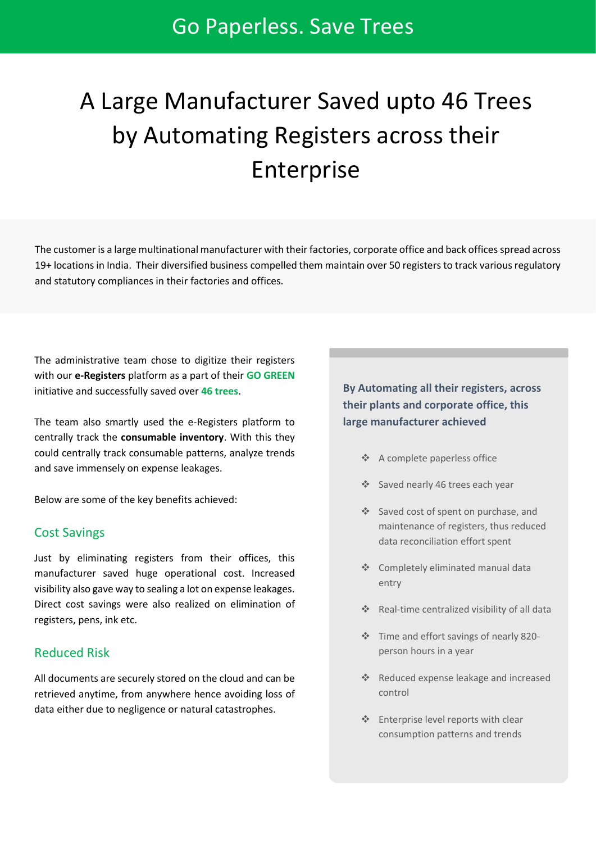# A Large Manufacturer Saved upto 46 Trees by Automating Registers across their Enterprise

The customer is a large multinational manufacturer with their factories, corporate office and back offices spread across 19+ locations in India. Their diversified business compelled them maintain over 50 registers to track various regulatory and statutory compliances in their factories and offices.

The administrative team chose to digitize their registers with our **e-Registers** platform as a part of their **GO GREEN** initiative and successfully saved over **46 trees**.

The team also smartly used the e-Registers platform to centrally track the **consumable inventory**. With this they could centrally track consumable patterns, analyze trends and save immensely on expense leakages.

Below are some of the key benefits achieved:

#### Cost Savings

Just by eliminating registers from their offices, this manufacturer saved huge operational cost. Increased visibility also gave way to sealing a lot on expense leakages. Direct cost savings were also realized on elimination of registers, pens, ink etc.

#### Reduced Risk

All documents are securely stored on the cloud and can be retrieved anytime, from anywhere hence avoiding loss of data either due to negligence or natural catastrophes.

## **By Automating all their registers, across their plants and corporate office, this large manufacturer achieved**

- ❖ A complete paperless office
- ❖ Saved nearly 46 trees each year
- ❖ Saved cost of spent on purchase, and maintenance of registers, thus reduced data reconciliation effort spent
- ❖ Completely eliminated manual data entry
- ❖ Real-time centralized visibility of all data
- ❖ Time and effort savings of nearly 820 person hours in a year
- ❖ Reduced expense leakage and increased control
- ❖ Enterprise level reports with clear consumption patterns and trends